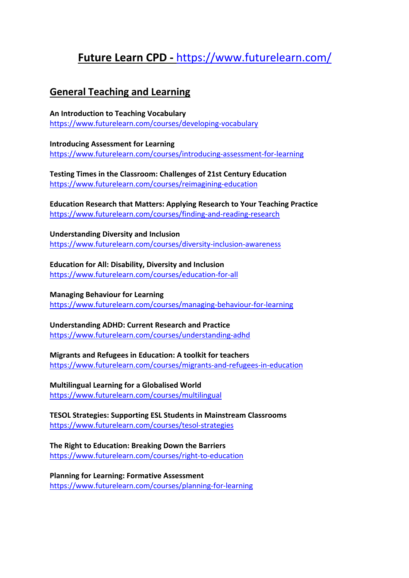# **Future Learn CPD -** https://www.futurelearn.com/

## **General Teaching and Learning**

**An Introduction to Teaching Vocabulary** https://www.futurelearn.com/courses/developing-vocabulary

**Introducing Assessment for Learning** https://www.futurelearn.com/courses/introducing-assessment-for-learning

**Testing Times in the Classroom: Challenges of 21st Century Education** https://www.futurelearn.com/courses/reimagining-education

**Education Research that Matters: Applying Research to Your Teaching Practice** https://www.futurelearn.com/courses/finding-and-reading-research

**Understanding Diversity and Inclusion** https://www.futurelearn.com/courses/diversity-inclusion-awareness

## **Education for All: Disability, Diversity and Inclusion**

https://www.futurelearn.com/courses/education-for-all

## **Managing Behaviour for Learning**

https://www.futurelearn.com/courses/managing-behaviour-for-learning

## **Understanding ADHD: Current Research and Practice**

https://www.futurelearn.com/courses/understanding-adhd

## **Migrants and Refugees in Education: A toolkit for teachers**

https://www.futurelearn.com/courses/migrants-and-refugees-in-education

## **Multilingual Learning for a Globalised World**

https://www.futurelearn.com/courses/multilingual

### **TESOL Strategies: Supporting ESL Students in Mainstream Classrooms** https://www.futurelearn.com/courses/tesol-strategies

## **The Right to Education: Breaking Down the Barriers**

https://www.futurelearn.com/courses/right-to-education

**Planning for Learning: Formative Assessment** https://www.futurelearn.com/courses/planning-for-learning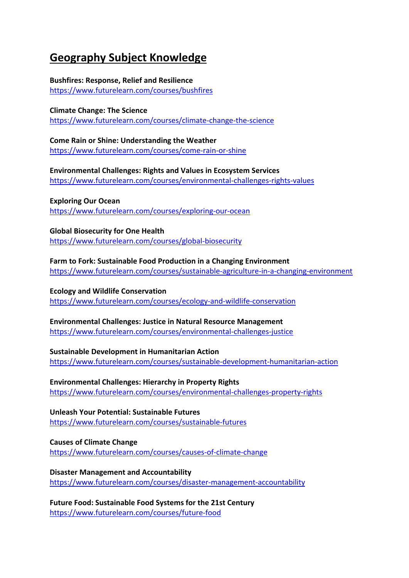# **Geography Subject Knowledge**

## **Bushfires: Response, Relief and Resilience**

https://www.futurelearn.com/courses/bushfires

## **Climate Change: The Science**

https://www.futurelearn.com/courses/climate-change-the-science

## **Come Rain or Shine: Understanding the Weather**

https://www.futurelearn.com/courses/come-rain-or-shine

#### **Environmental Challenges: Rights and Values in Ecosystem Services** https://www.futurelearn.com/courses/environmental-challenges-rights-values

## **Exploring Our Ocean**

https://www.futurelearn.com/courses/exploring-our-ocean

## **Global Biosecurity for One Health**

https://www.futurelearn.com/courses/global-biosecurity

## **Farm to Fork: Sustainable Food Production in a Changing Environment**

https://www.futurelearn.com/courses/sustainable-agriculture-in-a-changing-environment

## **Ecology and Wildlife Conservation**

https://www.futurelearn.com/courses/ecology-and-wildlife-conservation

## **Environmental Challenges: Justice in Natural Resource Management**

https://www.futurelearn.com/courses/environmental-challenges-justice

## **Sustainable Development in Humanitarian Action**

https://www.futurelearn.com/courses/sustainable-development-humanitarian-action

## **Environmental Challenges: Hierarchy in Property Rights** https://www.futurelearn.com/courses/environmental-challenges-property-rights

**Unleash Your Potential: Sustainable Futures** https://www.futurelearn.com/courses/sustainable-futures

### **Causes of Climate Change** https://www.futurelearn.com/courses/causes-of-climate-change

## **Disaster Management and Accountability** https://www.futurelearn.com/courses/disaster-management-accountability

**Future Food: Sustainable Food Systems for the 21st Century** https://www.futurelearn.com/courses/future-food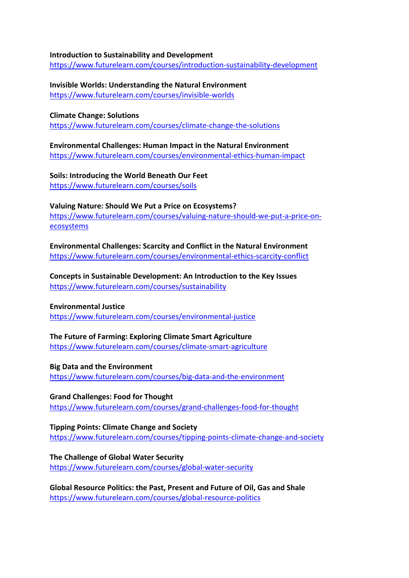#### **Introduction to Sustainability and Development**

https://www.futurelearn.com/courses/introduction-sustainability-development

**Invisible Worlds: Understanding the Natural Environment** https://www.futurelearn.com/courses/invisible-worlds

#### **Climate Change: Solutions**

https://www.futurelearn.com/courses/climate-change-the-solutions

#### **Environmental Challenges: Human Impact in the Natural Environment** https://www.futurelearn.com/courses/environmental-ethics-human-impact

**Soils: Introducing the World Beneath Our Feet** https://www.futurelearn.com/courses/soils

# **Valuing Nature: Should We Put a Price on Ecosystems?**

https://www.futurelearn.com/courses/valuing-nature-should-we-put-a-price-onecosystems

**Environmental Challenges: Scarcity and Conflict in the Natural Environment** https://www.futurelearn.com/courses/environmental-ethics-scarcity-conflict

**Concepts in Sustainable Development: An Introduction to the Key Issues** https://www.futurelearn.com/courses/sustainability

#### **Environmental Justice**

https://www.futurelearn.com/courses/environmental-justice

## **The Future of Farming: Exploring Climate Smart Agriculture**

https://www.futurelearn.com/courses/climate-smart-agriculture

#### **Big Data and the Environment**

https://www.futurelearn.com/courses/big-data-and-the-environment

#### **Grand Challenges: Food for Thought**

https://www.futurelearn.com/courses/grand-challenges-food-for-thought

#### **Tipping Points: Climate Change and Society** https://www.futurelearn.com/courses/tipping-points-climate-change-and-society

**The Challenge of Global Water Security** https://www.futurelearn.com/courses/global-water-security

**Global Resource Politics: the Past, Present and Future of Oil, Gas and Shale** https://www.futurelearn.com/courses/global-resource-politics